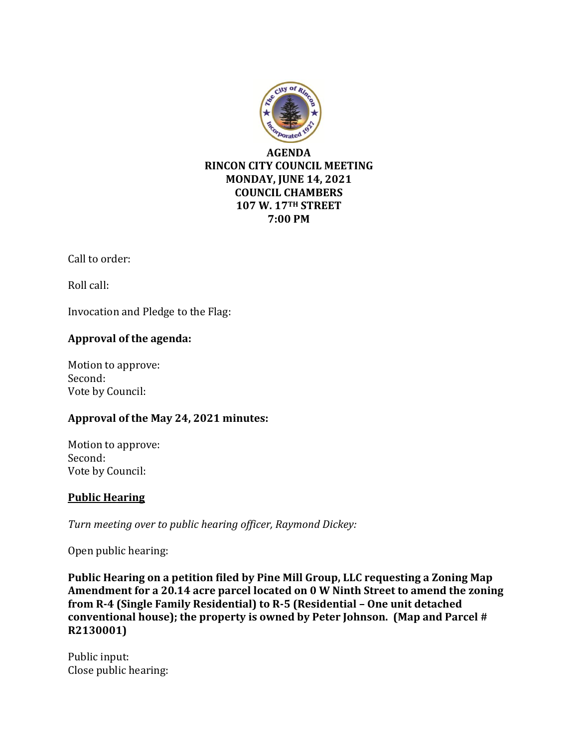

Call to order:

Roll call:

Invocation and Pledge to the Flag:

# **Approval of the agenda:**

Motion to approve: Second: Vote by Council:

# **Approval of the May 24, 2021 minutes:**

Motion to approve: Second: Vote by Council:

### **Public Hearing**

*Turn meeting over to public hearing officer, Raymond Dickey:*

Open public hearing:

**Public Hearing on a petition filed by Pine Mill Group, LLC requesting a Zoning Map Amendment for a 20.14 acre parcel located on 0 W Ninth Street to amend the zoning from R-4 (Single Family Residential) to R-5 (Residential – One unit detached conventional house); the property is owned by Peter Johnson. (Map and Parcel # R2130001)**

Public input: Close public hearing: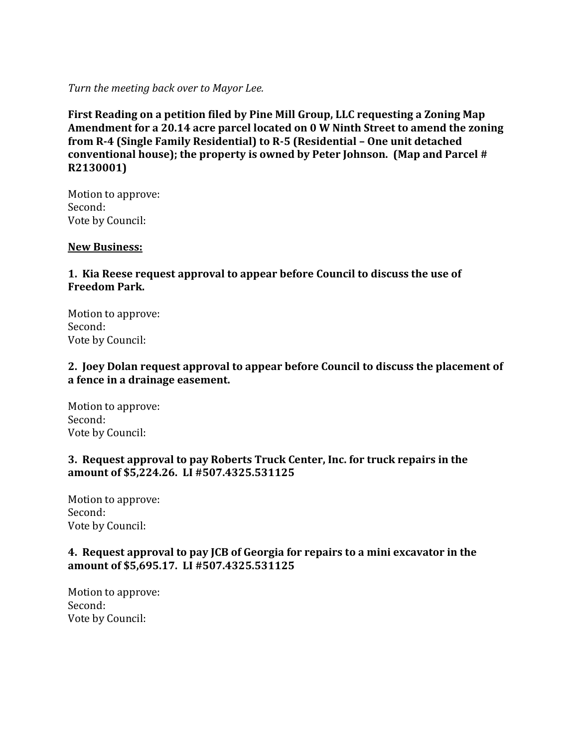*Turn the meeting back over to Mayor Lee.*

**First Reading on a petition filed by Pine Mill Group, LLC requesting a Zoning Map Amendment for a 20.14 acre parcel located on 0 W Ninth Street to amend the zoning from R-4 (Single Family Residential) to R-5 (Residential – One unit detached conventional house); the property is owned by Peter Johnson. (Map and Parcel # R2130001)**

Motion to approve: Second: Vote by Council:

#### **New Business:**

# **1. Kia Reese request approval to appear before Council to discuss the use of Freedom Park.**

Motion to approve: Second: Vote by Council:

### **2. Joey Dolan request approval to appear before Council to discuss the placement of a fence in a drainage easement.**

Motion to approve: Second: Vote by Council:

### **3. Request approval to pay Roberts Truck Center, Inc. for truck repairs in the amount of \$5,224.26. LI #507.4325.531125**

Motion to approve: Second: Vote by Council:

### **4. Request approval to pay JCB of Georgia for repairs to a mini excavator in the amount of \$5,695.17. LI #507.4325.531125**

Motion to approve: Second: Vote by Council: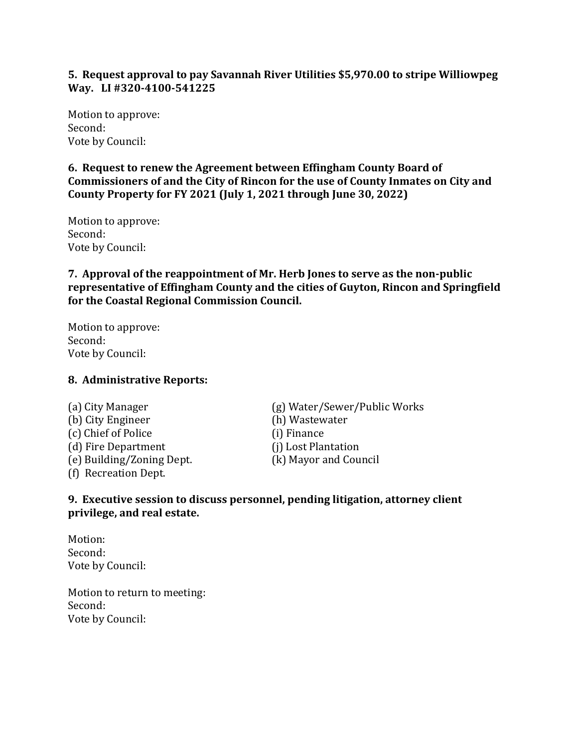### **5. Request approval to pay Savannah River Utilities \$5,970.00 to stripe Williowpeg Way. LI #320-4100-541225**

Motion to approve: Second: Vote by Council:

**6. Request to renew the Agreement between Effingham County Board of Commissioners of and the City of Rincon for the use of County Inmates on City and County Property for FY 2021 (July 1, 2021 through June 30, 2022)**

Motion to approve: Second: Vote by Council:

**7. Approval of the reappointment of Mr. Herb Jones to serve as the non-public representative of Effingham County and the cities of Guyton, Rincon and Springfield for the Coastal Regional Commission Council.**

Motion to approve: Second: Vote by Council:

### **8. Administrative Reports:**

(b) City Engineer (h) Wastewater (c) Chief of Police (i) Finance (d) Fire Department (j) Lost Plantation (e) Building/Zoning Dept. (k) Mayor and Council (f) Recreation Dept.

(a) City Manager (g) Water/Sewer/Public Works

### **9. Executive session to discuss personnel, pending litigation, attorney client privilege, and real estate.**

Motion: Second: Vote by Council:

Motion to return to meeting: Second: Vote by Council: